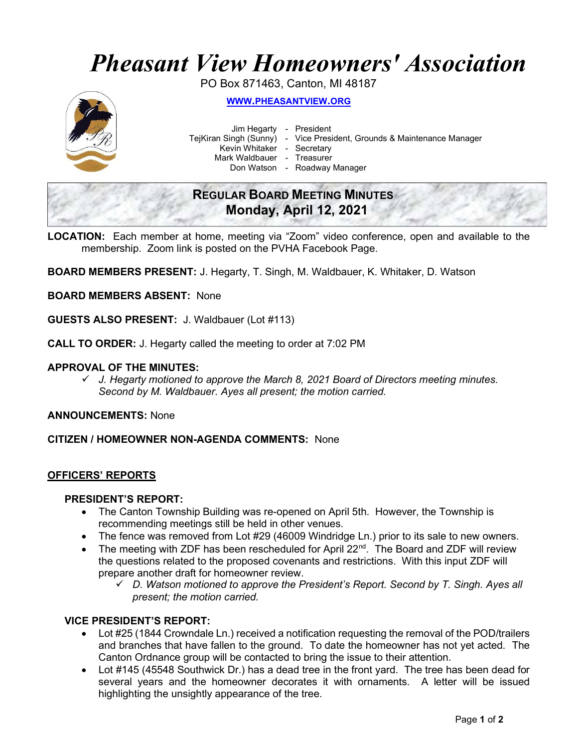# Pheasant View Homeowners' Association

PO Box 871463, Canton, MI 48187



WWW.PHEASANTVIEW.ORG

Jim Hegarty - President

TejKiran Singh (Sunny) - Vice President, Grounds & Maintenance Manager

Kevin Whitaker - Secretary

Mark Waldbauer - Treasurer

Don Watson - Roadway Manager

# REGULAR BOARD MEETING MINUTES Monday, April 12, 2021

LOCATION: Each member at home, meeting via "Zoom" video conference, open and available to the membership. Zoom link is posted on the PVHA Facebook Page.

BOARD MEMBERS PRESENT: J. Hegarty, T. Singh, M. Waldbauer, K. Whitaker, D. Watson

BOARD MEMBERS ABSENT: None

GUESTS ALSO PRESENT: J. Waldbauer (Lot #113)

CALL TO ORDER: J. Hegarty called the meeting to order at 7:02 PM

## APPROVAL OF THE MINUTES:

 $\checkmark$  J. Hegarty motioned to approve the March 8, 2021 Board of Directors meeting minutes. Second by M. Waldbauer. Ayes all present; the motion carried.

ANNOUNCEMENTS: None

CITIZEN / HOMEOWNER NON-AGENDA COMMENTS: None

# OFFICERS' REPORTS

#### PRESIDENT'S REPORT:

- The Canton Township Building was re-opened on April 5th. However, the Township is recommending meetings still be held in other venues.
- The fence was removed from Lot #29 (46009 Windridge Ln.) prior to its sale to new owners.
- The meeting with ZDF has been rescheduled for April 22<sup>nd</sup>. The Board and ZDF will review the questions related to the proposed covenants and restrictions. With this input ZDF will prepare another draft for homeowner review.
	- $\checkmark$  D. Watson motioned to approve the President's Report. Second by T. Singh. Ayes all present; the motion carried.

#### VICE PRESIDENT'S REPORT:

- Lot #25 (1844 Crowndale Ln.) received a notification requesting the removal of the POD/trailers and branches that have fallen to the ground. To date the homeowner has not yet acted. The Canton Ordnance group will be contacted to bring the issue to their attention.
- Lot #145 (45548 Southwick Dr.) has a dead tree in the front yard. The tree has been dead for several years and the homeowner decorates it with ornaments. A letter will be issued highlighting the unsightly appearance of the tree.